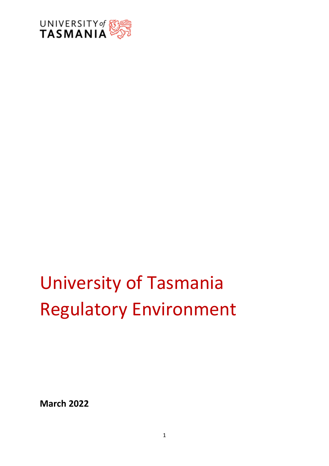

# University of Tasmania Regulatory Environment

**March 2022**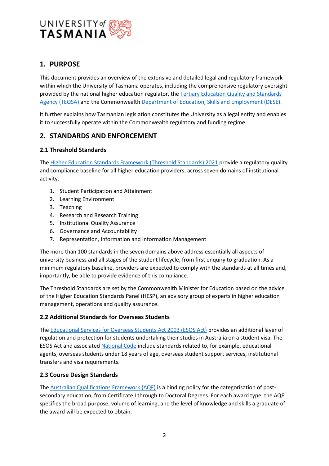

## **1. PURPOSE**

This document provides an overview of the extensive and detailed legal and regulatory framework within which the University of Tasmania operates, including the comprehensive regulatory oversight provided by the national higher education regulator, the [Tertiary Education Quality and Standards](https://www.teqsa.gov.au/)  [Agency \(TEQSA\)](https://www.teqsa.gov.au/) and the Commonwealth [Department of Education, Skills and Employment \(DESE\).](https://www.dese.gov.au/)

It further explains how Tasmanian legislation constitutes the University as a legal entity and enables it to successfully operate within the Commonwealth regulatory and funding regime.

## **2. STANDARDS AND ENFORCEMENT**

## **2.1 Threshold Standards**

The [Higher Education Standards Framework \(Threshold Standards\) 2021](https://www.legislation.gov.au/Details/F2022C00105) provide a regulatory quality and compliance baseline for all higher education providers, across seven domains of institutional activity.

- 1. Student Participation and Attainment
- 2. Learning Environment
- 3. Teaching
- 4. Research and Research Training
- 5. Institutional Quality Assurance
- 6. Governance and Accountability
- 7. Representation, Information and Information Management

The more than 100 standards in the seven domains above address essentially all aspects of university business and all stages of the student lifecycle, from first enquiry to graduation. As a minimum regulatory baseline, providers are expected to comply with the standards at all times and, importantly, be able to provide evidence of this compliance.

The Threshold Standards are set by the Commonwealth Minister for Education based on the advice of the Higher Education Standards Panel (HESP), an advisory group of experts in higher education management, operations and quality assurance.

## **2.2 Additional Standards for Overseas Students**

The [Educational Services for Overseas Students Act 2003 \(ESOS Act\)](https://www.legislation.gov.au/Details/C2022C00066) provides an additional layer of regulation and protection for students undertaking their studies in Australia on a student visa. The ESOS Act and associated [National Code](https://www.legislation.gov.au/Details/F2017L01182) include standards related to, for example, educational agents, overseas students under 18 years of age, overseas student support services, institutional transfers and visa requirements.

### **2.3 Course Design Standards**

The [Australian Qualifications Framework \(AQF\)](https://www.aqf.edu.au/) is a binding policy for the categorisation of postsecondary education, from Certificate I through to Doctoral Degrees. For each award type, the AQF specifies the broad purpose, volume of learning, and the level of knowledge and skills a graduate of the award will be expected to obtain.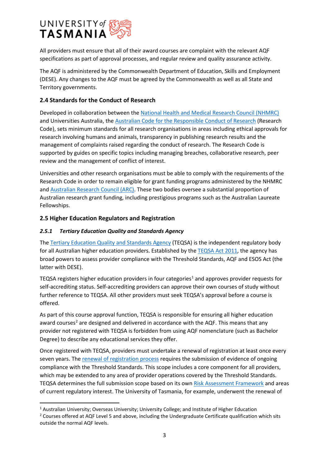

All providers must ensure that all of their award courses are complaint with the relevant AQF specifications as part of approval processes, and regular review and quality assurance activity.

The AQF is administered by the Commonwealth Department of Education, Skills and Employment (DESE). Any changes to the AQF must be agreed by the Commonwealth as well as all State and Territory governments.

### **2.4 Standards for the Conduct of Research**

Developed in collaboration between th[e National Health and Medical Research Council \(NHMRC\)](https://www.nhmrc.gov.au/) and Universities Australia, the Australian Code for the Responsible Conduct of Research (Research Code), sets minimum standards for all research organisations in areas including ethical approvals for research involving humans and animals, transparency in publishing research results and the management of complaints raised regarding the conduct of research. The Research Code is supported by guides on specific topics including managing breaches, collaborative research, peer review and the management of conflict of interest.

Universities and other research organisations must be able to comply with the requirements of the Research Code in order to remain eligible for grant funding programs administered by the NHMRC and [Australian Research Council \(ARC\).](https://www.arc.gov.au/) These two bodies oversee a substantial proportion of Australian research grant funding, including prestigious programs such as the Australian Laureate Fellowships.

## **2.5 Higher Education Regulators and Registration**

## *2.5.1 Tertiary Education Quality and Standards Agency*

The [Tertiary Education Quality and Standards Agency](https://www.teqsa.gov.au/risk-assessment-framework) (TEQSA) is the independent regulatory body for all Australian higher education providers. Established by the [TEQSA Act 2011,](https://www.legislation.gov.au/Details/C2016C00888) the agency has broad powers to assess provider compliance with the Threshold Standards, AQF and ESOS Act (the latter with DESE).

TEQSA registers higher education providers in four categories<sup>[1](#page-2-0)</sup> and approves provider requests for self-accrediting status. Self-accrediting providers can approve their own courses of study without further reference to TEQSA. All other providers must seek TEQSA's approval before a course is offered.

As part of this course approval function, TEQSA is responsible for ensuring all higher education award courses<sup>[2](#page-2-1)</sup> are designed and delivered in accordance with the AQF. This means that any provider not registered with TEQSA is forbidden from using AQF nomenclature (such as Bachelor Degree) to describe any educational services they offer.

Once registered with TEQSA, providers must undertake a renewal of registration at least once every seven years. Th[e renewal of registration process](https://www.teqsa.gov.au/sites/default/files/application-guide-for-re-registration-v2.7.pdf?v=1535500067) requires the submission of evidence of ongoing compliance with the Threshold Standards. This scope includes a core component for all providers, which may be extended to any area of provider operations covered by the Threshold Standards. TEQSA determines the full submission scope based on its ow[n Risk Assessment Framework](https://www.teqsa.gov.au/risk-assessment-framework) and areas of current regulatory interest. The University of Tasmania, for example, underwent the renewal of

<span id="page-2-0"></span><sup>&</sup>lt;sup>1</sup> Australian University; Overseas University; University College; and Institute of Higher Education

<span id="page-2-1"></span><sup>&</sup>lt;sup>2</sup> Courses offered at AQF Level 5 and above, including the Undergraduate Certificate qualification which sits outside the normal AQF levels.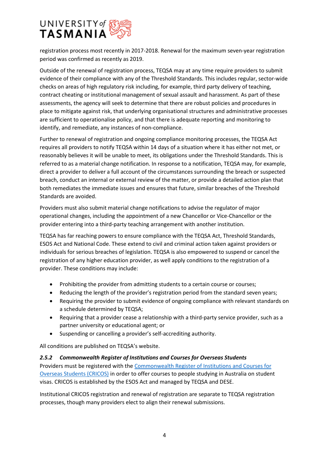

registration process most recently in 2017-2018. Renewal for the maximum seven-year registration period was confirmed as recently as 2019.

Outside of the renewal of registration process, TEQSA may at any time require providers to submit evidence of their compliance with any of the Threshold Standards. This includes regular, sector-wide checks on areas of high regulatory risk including, for example, third party delivery of teaching, contract cheating or institutional management of sexual assault and harassment. As part of these assessments, the agency will seek to determine that there are robust policies and procedures in place to mitigate against risk, that underlying organisational structures and administrative processes are sufficient to operationalise policy, and that there is adequate reporting and monitoring to identify, and remediate, any instances of non-compliance.

Further to renewal of registration and ongoing compliance monitoring processes, the TEQSA Act requires all providers to notify TEQSA within 14 days of a situation where it has either not met, or reasonably believes it will be unable to meet, its obligations under the Threshold Standards. This is referred to as a material change notification. In response to a notification, TEQSA may, for example, direct a provider to deliver a full account of the circumstances surrounding the breach or suspected breach, conduct an internal or external review of the matter, or provide a detailed action plan that both remediates the immediate issues and ensures that future, similar breaches of the Threshold Standards are avoided.

Providers must also submit material change notifications to advise the regulator of major operational changes, including the appointment of a new Chancellor or Vice-Chancellor or the provider entering into a third-party teaching arrangement with another institution.

TEQSA has far reaching powers to ensure compliance with the TEQSA Act, Threshold Standards, ESOS Act and National Code. These extend to civil and criminal action taken against providers or individuals for serious breaches of legislation. TEQSA is also empowered to suspend or cancel the registration of any higher education provider, as well apply conditions to the registration of a provider. These conditions may include:

- Prohibiting the provider from admitting students to a certain course or courses;
- Reducing the length of the provider's registration period from the standard seven years;
- Requiring the provider to submit evidence of ongoing compliance with relevant standards on a schedule determined by TEQSA;
- Requiring that a provider cease a relationship with a third-party service provider, such as a partner university or educational agent; or
- Suspending or cancelling a provider's self-accrediting authority.

All conditions are published on TEQSA's website.

### *2.5.2 Commonwealth Register of Institutions and Courses for Overseas Students*

Providers must be registered with the [Commonwealth Register of Institutions and Courses for](https://cricos.education.gov.au/)  [Overseas Students \(CRICOS\)](https://cricos.education.gov.au/) in order to offer courses to people studying in Australia on student visas. CRICOS is established by the ESOS Act and managed by TEQSA and DESE.

Institutional CRICOS registration and renewal of registration are separate to TEQSA registration processes, though many providers elect to align their renewal submissions.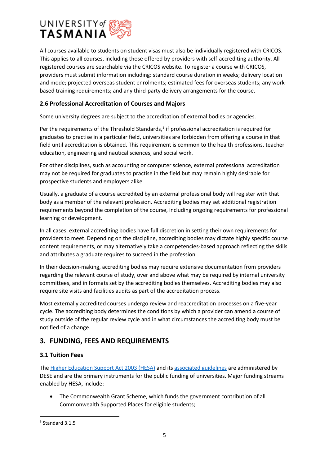

All courses available to students on student visas must also be individually registered with CRICOS. This applies to all courses, including those offered by providers with self-accrediting authority. All registered courses are searchable via the CRICOS website. To register a course with CRICOS, providers must submit information including: standard course duration in weeks; delivery location and mode; projected overseas student enrolments; estimated fees for overseas students; any workbased training requirements; and any third-party delivery arrangements for the course.

## **2.6 Professional Accreditation of Courses and Majors**

Some university degrees are subject to the accreditation of external bodies or agencies.

Per the requirements of the Threshold Standards, $3$  if professional accreditation is required for graduates to practise in a particular field, universities are forbidden from offering a course in that field until accreditation is obtained. This requirement is common to the health professions, teacher education, engineering and nautical sciences, and social work.

For other disciplines, such as accounting or computer science, external professional accreditation may not be required for graduates to practise in the field but may remain highly desirable for prospective students and employers alike.

Usually, a graduate of a course accredited by an external professional body will register with that body as a member of the relevant profession. Accrediting bodies may set additional registration requirements beyond the completion of the course, including ongoing requirements for professional learning or development.

In all cases, external accrediting bodies have full discretion in setting their own requirements for providers to meet. Depending on the discipline, accrediting bodies may dictate highly specific course content requirements, or may alternatively take a competencies-based approach reflecting the skills and attributes a graduate requires to succeed in the profession.

In their decision-making, accrediting bodies may require extensive documentation from providers regarding the relevant course of study, over and above what may be required by internal university committees, and in formats set by the accrediting bodies themselves. Accrediting bodies may also require site visits and facilities audits as part of the accreditation process.

Most externally accredited courses undergo review and reaccreditation processes on a five-year cycle. The accrediting body determines the conditions by which a provider can amend a course of study outside of the regular review cycle and in what circumstances the accrediting body must be notified of a change.

## **3. FUNDING, FEES AND REQUIREMENTS**

### **3.1 Tuition Fees**

The [Higher Education Support Act 2003 \(HESA\)](https://www.legislation.gov.au/Details/C2022C00005) and it[s associated guidelines](https://www.dese.gov.au/higher-education-loan-program/higher-education-support-act-2003-and-guidelines) are administered by DESE and are the primary instruments for the public funding of universities. Major funding streams enabled by HESA, include:

• The Commonwealth Grant Scheme, which funds the government contribution of all Commonwealth Supported Places for eligible students;

<span id="page-4-0"></span><sup>3</sup> Standard 3.1.5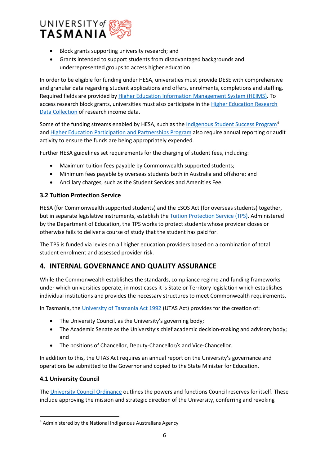

- Block grants supporting university research; and
- Grants intended to support students from disadvantaged backgrounds and underrepresented groups to access higher education.

In order to be eligible for funding under HESA, universities must provide DESE with comprehensive and granular data regarding student applications and offers, enrolments, completions and staffing. Required fields are provided by [Higher Education Information Management System](https://heimshelp.dese.gov.au/) (HEIMS). To access research block grants, universities must also participate in the [Higher Education Research](https://www.dese.gov.au/research-block-grants/higher-education-research-data-collection-herdc)  [Data Collection](https://www.dese.gov.au/research-block-grants/higher-education-research-data-collection-herdc) of research income data.

Some of the funding streams enabled by HESA, such as th[e Indigenous Student Success](https://www.niaa.gov.au/indigenous-affairs/education/indigenous-student-success-program) Program<sup>[4](#page-5-0)</sup> and [Higher Education Participation and Partnerships Program](https://www.dese.gov.au/heppp) also require annual reporting or audit activity to ensure the funds are being appropriately expended.

Further HESA guidelines set requirements for the charging of student fees, including:

- Maximum tuition fees payable by Commonwealth supported students;
- Minimum fees payable by overseas students both in Australia and offshore; and
- Ancillary charges, such as the Student Services and Amenities Fee.

## **3.2 Tuition Protection Service**

HESA (for Commonwealth supported students) and the ESOS Act (for overseas students) together, but in separate legislative instruments, establish the Tuition [Protection Service \(TPS\).](https://www.dese.gov.au/tps) Administered by the Department of Education, the TPS works to protect students whose provider closes or otherwise fails to deliver a course of study that the student has paid for.

The TPS is funded via levies on all higher education providers based on a combination of total student enrolment and assessed provider risk.

## **4. INTERNAL GOVERNANCE AND QUALITY ASSURANCE**

While the Commonwealth establishes the standards, compliance regime and funding frameworks under which universities operate, in most cases it is State or Territory legislation which establishes individual institutions and provides the necessary structures to meet Commonwealth requirements.

In Tasmania, the [University of Tasmania Act 1992](https://www.legislation.tas.gov.au/view/html/inforce/current/act-1992-051) (UTAS Act) provides for the creation of:

- The University Council, as the University's governing body;
- The Academic Senate as the University's chief academic decision-making and advisory body; and
- The positions of Chancellor, Deputy-Chancellor/s and Vice-Chancellor.

In addition to this, the UTAS Act requires an annual report on the University's governance and operations be submitted to the Governor and copied to the State Minister for Education.

### **4.1 University Council**

The [University Council Ordinance](https://www.utas.edu.au/__data/assets/pdf_file/0010/1372429/University-Council-Ordinance.pdf) outlines the powers and functions Council reserves for itself. These include approving the mission and strategic direction of the University, conferring and revoking

<span id="page-5-0"></span><sup>4</sup> Administered by the National Indigenous Australians Agency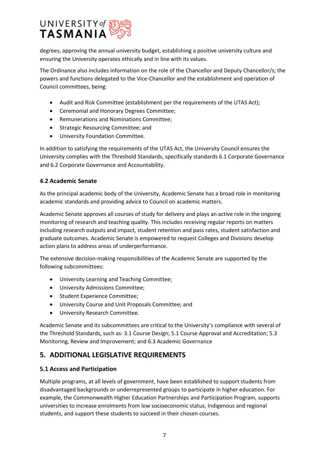

degrees, approving the annual university budget, establishing a positive university culture and ensuring the University operates ethically and in line with its values.

The Ordinance also includes information on the role of the Chancellor and Deputy Chancellor/s; the powers and functions delegated to the Vice-Chancellor and the establishment and operation of Council committees, being:

- Audit and Risk Committee (establishment per the requirements of the UTAS Act);
- Ceremonial and Honorary Degrees Committee;
- Remunerations and Nominations Committee;
- Strategic Resourcing Committee; and
- University Foundation Committee.

In addition to satisfying the requirements of the UTAS Act, the University Council ensures the University complies with the Threshold Standards, specifically standards 6.1 Corporate Governance and 6.2 Corporate Governance and Accountability.

## **4.2 Academic Senate**

As the principal academic body of the University, Academic Senate has a broad role in monitoring academic standards and providing advice to Council on academic matters.

Academic Senate approves all courses of study for delivery and plays an active role in the ongoing monitoring of research and teaching quality. This includes receiving regular reports on matters including research outputs and impact, student retention and pass rates, student satisfaction and graduate outcomes. Academic Senate is empowered to request Colleges and Divisions develop action plans to address areas of underperformance.

The extensive decision-making responsibilities of the Academic Senate are supported by the following subcommittees:

- University Learning and Teaching Committee;
- University Admissions Committee;
- Student Experience Committee;
- University Course and Unit Proposals Committee; and
- University Research Committee.

Academic Senate and its subcommittees are critical to the University's compliance with several of the Threshold Standards, such as: 3.1 Course Design; 5.1 Course Approval and Accreditation; 5.3 Monitoring, Review and Improvement; and 6.3 Academic Governance

## **5. ADDITIONAL LEGISLATIVE REQUIREMENTS**

### **5.1 Access and Participation**

Multiple programs, at all levels of government, have been established to support students from disadvantaged backgrounds or underrepresented groups to participate in higher education. For example, the Commonwealth Higher Education Partnerships and Participation Program, supports universities to increase enrolments from low socioeconomic status, Indigenous and regional students, and support these students to succeed in their chosen courses.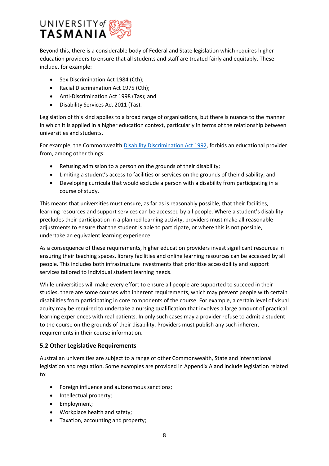

Beyond this, there is a considerable body of Federal and State legislation which requires higher education providers to ensure that all students and staff are treated fairly and equitably. These include, for example:

- Sex Discrimination Act 1984 (Cth);
- Racial Discrimination Act 1975 (Cth);
- Anti-Discrimination Act 1998 (Tas); and
- Disability Services Act 2011 (Tas).

Legislation of this kind applies to a broad range of organisations, but there is nuance to the manner in which it is applied in a higher education context, particularly in terms of the relationship between universities and students.

For example, the Commonwealth [Disability Discrimination Act 1992,](https://www.legislation.gov.au/Details/C2018C00125) forbids an educational provider from, among other things:

- Refusing admission to a person on the grounds of their disability;
- Limiting a student's access to facilities or services on the grounds of their disability; and
- Developing curricula that would exclude a person with a disability from participating in a course of study.

This means that universities must ensure, as far as is reasonably possible, that their facilities, learning resources and support services can be accessed by all people. Where a student's disability precludes their participation in a planned learning activity, providers must make all reasonable adjustments to ensure that the student is able to participate, or where this is not possible, undertake an equivalent learning experience.

As a consequence of these requirements, higher education providers invest significant resources in ensuring their teaching spaces, library facilities and online learning resources can be accessed by all people. This includes both infrastructure investments that prioritise accessibility and support services tailored to individual student learning needs.

While universities will make every effort to ensure all people are supported to succeed in their studies, there are some courses with inherent requirements, which may prevent people with certain disabilities from participating in core components of the course. For example, a certain level of visual acuity may be required to undertake a nursing qualification that involves a large amount of practical learning experiences with real patients. In only such cases may a provider refuse to admit a student to the course on the grounds of their disability. Providers must publish any such inherent requirements in their course information.

## **5.2 Other Legislative Requirements**

Australian universities are subject to a range of other Commonwealth, State and international legislation and regulation. Some examples are provided in Appendix A and include legislation related to:

- Foreign influence and autonomous sanctions;
- Intellectual property;
- Employment;
- Workplace health and safety;
- Taxation, accounting and property;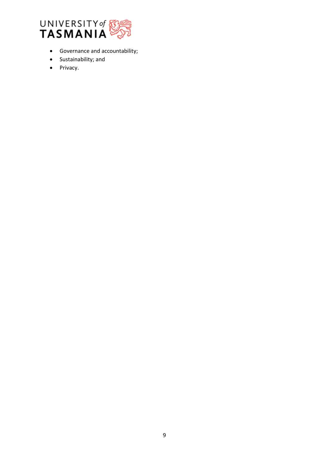

- Governance and accountability;
- Sustainability; and
- Privacy.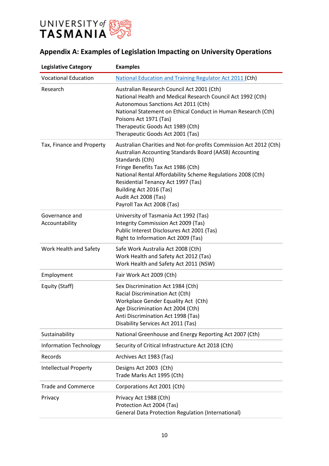

## **Appendix A: Examples of Legislation Impacting on University Operations**

| <b>Legislative Category</b>      | <b>Examples</b>                                                                                                                                                                                                                                                                                                                                                              |
|----------------------------------|------------------------------------------------------------------------------------------------------------------------------------------------------------------------------------------------------------------------------------------------------------------------------------------------------------------------------------------------------------------------------|
| <b>Vocational Education</b>      | National Education and Training Regulator Act 2011 (Cth)                                                                                                                                                                                                                                                                                                                     |
| Research                         | Australian Research Council Act 2001 (Cth)<br>National Health and Medical Research Council Act 1992 (Cth)<br>Autonomous Sanctions Act 2011 (Cth)<br>National Statement on Ethical Conduct in Human Research (Cth)<br>Poisons Act 1971 (Tas)<br>Therapeutic Goods Act 1989 (Cth)<br>Therapeutic Goods Act 2001 (Tas)                                                          |
| Tax, Finance and Property        | Australian Charities and Not-for-profits Commission Act 2012 (Cth)<br>Australian Accounting Standards Board (AASB) Accounting<br>Standards (Cth)<br>Fringe Benefits Tax Act 1986 (Cth)<br>National Rental Affordability Scheme Regulations 2008 (Cth)<br>Residential Tenancy Act 1997 (Tas)<br>Building Act 2016 (Tas)<br>Audit Act 2008 (Tas)<br>Payroll Tax Act 2008 (Tas) |
| Governance and<br>Accountability | University of Tasmania Act 1992 (Tas)<br>Integrity Commission Act 2009 (Tas)<br>Public Interest Disclosures Act 2001 (Tas)<br>Right to Information Act 2009 (Tas)                                                                                                                                                                                                            |
| Work Health and Safety           | Safe Work Australia Act 2008 (Cth)<br>Work Health and Safety Act 2012 (Tas)<br>Work Health and Safety Act 2011 (NSW)                                                                                                                                                                                                                                                         |
| Employment                       | Fair Work Act 2009 (Cth)                                                                                                                                                                                                                                                                                                                                                     |
| Equity (Staff)                   | Sex Discrimination Act 1984 (Cth)<br>Racial Discrimination Act (Cth)<br>Workplace Gender Equality Act (Cth)<br>Age Discrimination Act 2004 (Cth)<br>Anti Discrimination Act 1998 (Tas)<br>Disability Services Act 2011 (Tas)                                                                                                                                                 |
| Sustainability                   | National Greenhouse and Energy Reporting Act 2007 (Cth)                                                                                                                                                                                                                                                                                                                      |
| <b>Information Technology</b>    | Security of Critical Infrastructure Act 2018 (Cth)                                                                                                                                                                                                                                                                                                                           |
| Records                          | Archives Act 1983 (Tas)                                                                                                                                                                                                                                                                                                                                                      |
| <b>Intellectual Property</b>     | Designs Act 2003 (Cth)<br>Trade Marks Act 1995 (Cth)                                                                                                                                                                                                                                                                                                                         |
| <b>Trade and Commerce</b>        | Corporations Act 2001 (Cth)                                                                                                                                                                                                                                                                                                                                                  |
| Privacy                          | Privacy Act 1988 (Cth)<br>Protection Act 2004 (Tas)<br><b>General Data Protection Regulation (International)</b>                                                                                                                                                                                                                                                             |